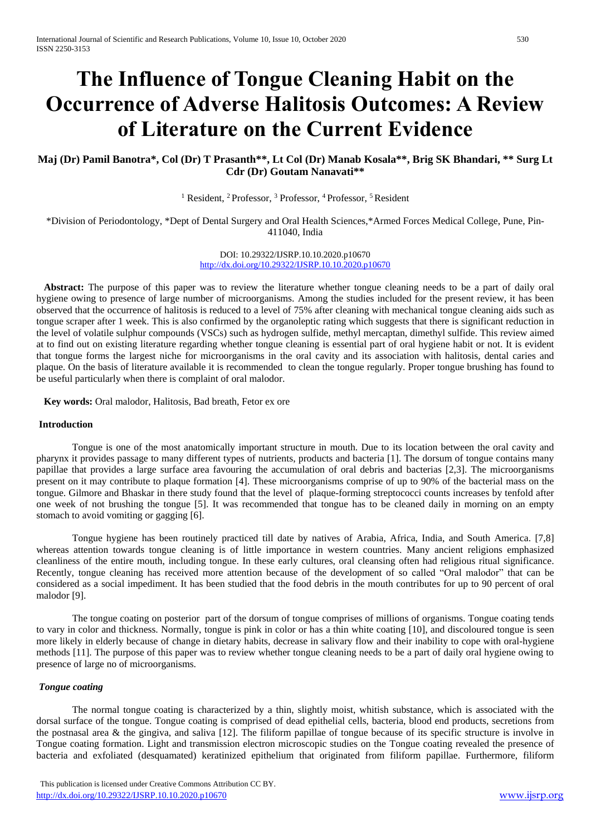# **The Influence of Tongue Cleaning Habit on the Occurrence of Adverse Halitosis Outcomes: A Review of Literature on the Current Evidence**

## **Maj (Dr) Pamil Banotra\*, Col (Dr) T Prasanth\*\*, Lt Col (Dr) Manab Kosala\*\*, Brig SK Bhandari, \*\* Surg Lt Cdr (Dr) Goutam Nanavati\*\***

<sup>1</sup> Resident, <sup>2</sup> Professor, <sup>3</sup> Professor, <sup>4</sup> Professor, <sup>5</sup> Resident

\*Division of Periodontology, \*Dept of Dental Surgery and Oral Health Sciences,\*Armed Forces Medical College, Pune, Pin-411040, India

> DOI: 10.29322/IJSRP.10.10.2020.p10670 <http://dx.doi.org/10.29322/IJSRP.10.10.2020.p10670>

Abstract: The purpose of this paper was to review the literature whether tongue cleaning needs to be a part of daily oral hygiene owing to presence of large number of microorganisms. Among the studies included for the present review, it has been observed that the occurrence of halitosis is reduced to a level of 75% after cleaning with mechanical tongue cleaning aids such as tongue scraper after 1 week. This is also confirmed by the organoleptic rating which suggests that there is significant reduction in the level of volatile sulphur compounds (VSCs) such as hydrogen sulfide, methyl mercaptan, dimethyl sulfide. This review aimed at to find out on existing literature regarding whether tongue cleaning is essential part of oral hygiene habit or not. It is evident that tongue forms the largest niche for microorganisms in the oral cavity and its association with halitosis, dental caries and plaque. On the basis of literature available it is recommended to clean the tongue regularly. Proper tongue brushing has found to be useful particularly when there is complaint of oral malodor.

 **Key words:** Oral malodor, Halitosis, Bad breath, Fetor ex ore

#### **Introduction**

Tongue is one of the most anatomically important structure in mouth. Due to its location between the oral cavity and pharynx it provides passage to many different types of nutrients, products and bacteria [1]. The dorsum of tongue contains many papillae that provides a large surface area favouring the accumulation of oral debris and bacterias [2,3]. The microorganisms present on it may contribute to plaque formation [4]. These microorganisms comprise of up to 90% of the bacterial mass on the tongue. Gilmore and Bhaskar in there study found that the level of plaque-forming streptococci counts increases by tenfold after one week of not brushing the tongue [5]. It was recommended that tongue has to be cleaned daily in morning on an empty stomach to avoid vomiting or gagging [6].

Tongue hygiene has been routinely practiced till date by natives of Arabia, Africa, India, and South America. [7,8] whereas attention towards tongue cleaning is of little importance in western countries. Many ancient religions emphasized cleanliness of the entire mouth, including tongue. In these early cultures, oral cleansing often had religious ritual significance. Recently, tongue cleaning has received more attention because of the development of so called "Oral malodor" that can be considered as a social impediment. It has been studied that the food debris in the mouth contributes for up to 90 percent of oral malodor [9].

The tongue coating on posterior part of the dorsum of tongue comprises of millions of organisms. Tongue coating tends to vary in color and thickness. Normally, tongue is pink in color or has a thin white coating [10], and discoloured tongue is seen more likely in elderly because of change in dietary habits, decrease in salivary flow and their inability to cope with oral-hygiene methods [11]. The purpose of this paper was to review whether tongue cleaning needs to be a part of daily oral hygiene owing to presence of large no of microorganisms.

#### *Tongue coating*

The normal tongue coating is characterized by a thin, slightly moist, whitish substance, which is associated with the dorsal surface of the tongue. Tongue coating is comprised of dead epithelial cells, bacteria, blood end products, secretions from the postnasal area & the gingiva, and saliva [12]. The filiform papillae of tongue because of its specific structure is involve in Tongue coating formation. Light and transmission electron microscopic studies on the Tongue coating revealed the presence of bacteria and exfoliated (desquamated) keratinized epithelium that originated from filiform papillae. Furthermore, filiform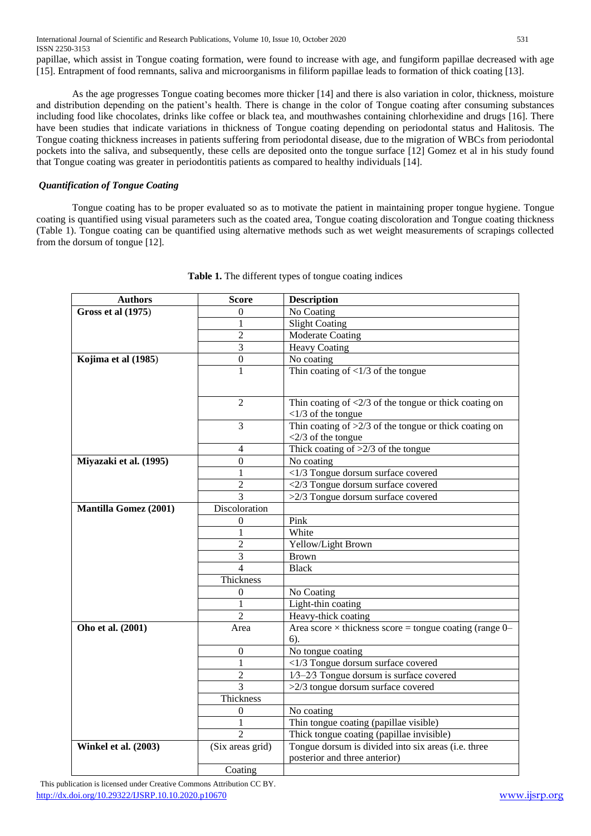International Journal of Scientific and Research Publications, Volume 10, Issue 10, October 2020 531 ISSN 2250-3153 papillae, which assist in Tongue coating formation, were found to increase with age, and fungiform papillae decreased with age

As the age progresses Tongue coating becomes more thicker [14] and there is also variation in color, thickness, moisture and distribution depending on the patient's health. There is change in the color of Tongue coating after consuming substances including food like chocolates, drinks like coffee or black tea, and mouthwashes containing chlorhexidine and drugs [16]. There have been studies that indicate variations in thickness of Tongue coating depending on periodontal status and Halitosis. The Tongue coating thickness increases in patients suffering from periodontal disease, due to the migration of WBCs from periodontal pockets into the saliva, and subsequently, these cells are deposited onto the tongue surface [12] Gomez et al in his study found that Tongue coating was greater in periodontitis patients as compared to healthy individuals [14].

[15]. Entrapment of food remnants, saliva and microorganisms in filiform papillae leads to formation of thick coating [13].

## *Quantification of Tongue Coating*

Tongue coating has to be proper evaluated so as to motivate the patient in maintaining proper tongue hygiene. Tongue coating is quantified using visual parameters such as the coated area, Tongue coating discoloration and Tongue coating thickness (Table 1). Tongue coating can be quantified using alternative methods such as wet weight measurements of scrapings collected from the dorsum of tongue [12].

| <b>Authors</b>               | <b>Score</b>             | <b>Description</b>                                                                |
|------------------------------|--------------------------|-----------------------------------------------------------------------------------|
| <b>Gross et al (1975)</b>    | 0                        | No Coating                                                                        |
|                              | 1                        | <b>Slight Coating</b>                                                             |
|                              | $\overline{2}$           | <b>Moderate Coating</b>                                                           |
|                              | 3                        | <b>Heavy Coating</b>                                                              |
| Kojima et al (1985)          | $\boldsymbol{0}$         | No coating                                                                        |
|                              | $\mathbf{1}$             | Thin coating of $\langle 1/3$ of the tongue                                       |
|                              |                          |                                                                                   |
|                              |                          |                                                                                   |
|                              | $\overline{2}$           | Thin coating of $\langle 2/3$ of the tongue or thick coating on                   |
|                              | 3                        | $<$ 1/3 of the tongue<br>Thin coating of $>2/3$ of the tongue or thick coating on |
|                              |                          | $<$ 2/3 of the tongue                                                             |
|                              | 4                        | Thick coating of $>2/3$ of the tongue                                             |
| Miyazaki et al. (1995)       | $\overline{0}$           | No coating                                                                        |
|                              | 1                        | <1/3 Tongue dorsum surface covered                                                |
|                              | $\overline{2}$           | <2/3 Tongue dorsum surface covered                                                |
|                              | 3                        | >2/3 Tongue dorsum surface covered                                                |
| <b>Mantilla Gomez (2001)</b> | Discoloration            |                                                                                   |
|                              | 0                        | Pink                                                                              |
|                              | 1                        | White                                                                             |
|                              | $\overline{2}$           | Yellow/Light Brown                                                                |
|                              | 3                        | <b>Brown</b>                                                                      |
|                              | $\overline{\mathcal{A}}$ | <b>Black</b>                                                                      |
|                              | Thickness                |                                                                                   |
|                              | 0                        | No Coating                                                                        |
|                              | 1                        | Light-thin coating                                                                |
|                              | $\overline{\mathcal{L}}$ | Heavy-thick coating                                                               |
| Oho et al. (2001)            | Area                     | Area score $\times$ thickness score = tongue coating (range 0–                    |
|                              |                          | $6$ ).                                                                            |
|                              | $\theta$                 | No tongue coating                                                                 |
|                              | 1                        | <1/3 Tongue dorsum surface covered                                                |
|                              | 2                        | 1/3-2/3 Tongue dorsum is surface covered                                          |
|                              | 3                        | >2/3 tongue dorsum surface covered                                                |
|                              | Thickness                |                                                                                   |
|                              | 0                        | No coating                                                                        |
|                              | 1                        | Thin tongue coating (papillae visible)                                            |
|                              | $\overline{2}$           | Thick tongue coating (papillae invisible)                                         |
| <b>Winkel et al. (2003)</b>  | (Six areas grid)         | Tongue dorsum is divided into six areas (i.e. three                               |
|                              |                          | posterior and three anterior)                                                     |
|                              | Coating                  |                                                                                   |

**Table 1.** The different types of tongue coating indices

 This publication is licensed under Creative Commons Attribution CC BY. <http://dx.doi.org/10.29322/IJSRP.10.10.2020.p10670> [www.ijsrp.org](http://ijsrp.org/)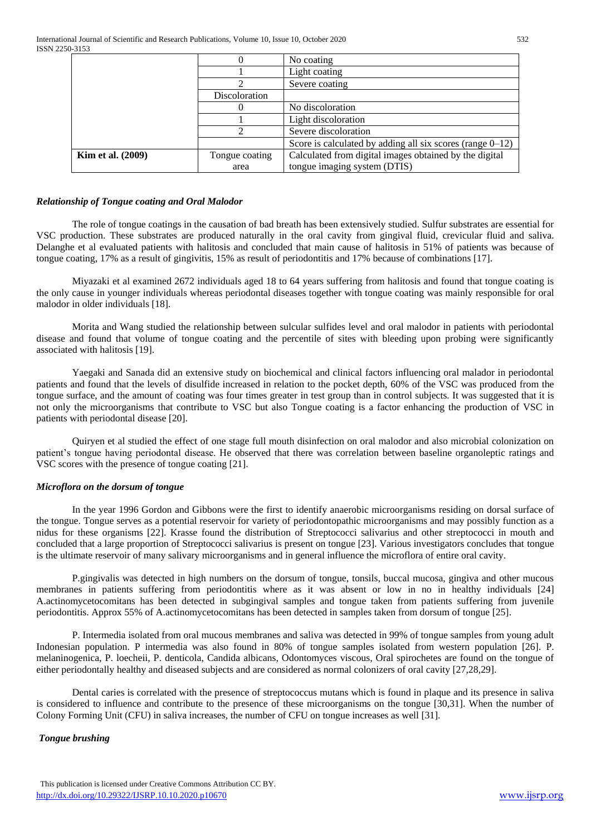|                          | 0              | No coating                                                   |
|--------------------------|----------------|--------------------------------------------------------------|
|                          |                | Light coating                                                |
|                          |                | Severe coating                                               |
|                          | Discoloration  |                                                              |
|                          |                | No discoloration                                             |
|                          |                | Light discoloration                                          |
|                          |                | Severe discoloration                                         |
|                          |                | Score is calculated by adding all six scores (range $0-12$ ) |
| <b>Kim et al.</b> (2009) | Tongue coating | Calculated from digital images obtained by the digital       |
|                          | area           | tongue imaging system (DTIS)                                 |

#### *Relationship of Tongue coating and Oral Malodor*

The role of tongue coatings in the causation of bad breath has been extensively studied. Sulfur substrates are essential for VSC production. These substrates are produced naturally in the oral cavity from gingival fluid, crevicular fluid and saliva. Delanghe et al evaluated patients with halitosis and concluded that main cause of halitosis in 51% of patients was because of tongue coating, 17% as a result of gingivitis, 15% as result of periodontitis and 17% because of combinations [17].

Miyazaki et al examined 2672 individuals aged 18 to 64 years suffering from halitosis and found that tongue coating is the only cause in younger individuals whereas periodontal diseases together with tongue coating was mainly responsible for oral malodor in older individuals [18].

Morita and Wang studied the relationship between sulcular sulfides level and oral malodor in patients with periodontal disease and found that volume of tongue coating and the percentile of sites with bleeding upon probing were significantly associated with halitosis [19].

Yaegaki and Sanada did an extensive study on biochemical and clinical factors influencing oral malador in periodontal patients and found that the levels of disulfide increased in relation to the pocket depth, 60% of the VSC was produced from the tongue surface, and the amount of coating was four times greater in test group than in control subjects. It was suggested that it is not only the microorganisms that contribute to VSC but also Tongue coating is a factor enhancing the production of VSC in patients with periodontal disease [20].

Quiryen et al studied the effect of one stage full mouth disinfection on oral malodor and also microbial colonization on patient's tongue having periodontal disease. He observed that there was correlation between baseline organoleptic ratings and VSC scores with the presence of tongue coating [21].

## *Microflora on the dorsum of tongue*

In the year 1996 Gordon and Gibbons were the first to identify anaerobic microorganisms residing on dorsal surface of the tongue. Tongue serves as a potential reservoir for variety of periodontopathic microorganisms and may possibly function as a nidus for these organisms [22]. Krasse found the distribution of Streptococci salivarius and other streptococci in mouth and concluded that a large proportion of Streptococci salivarius is present on tongue [23]. Various investigators concludes that tongue is the ultimate reservoir of many salivary microorganisms and in general influence the microflora of entire oral cavity.

P.gingivalis was detected in high numbers on the dorsum of tongue, tonsils, buccal mucosa, gingiva and other mucous membranes in patients suffering from periodontitis where as it was absent or low in no in healthy individuals [24] A.actinomycetocomitans has been detected in subgingival samples and tongue taken from patients suffering from juvenile periodontitis. Approx 55% of A.actinomycetocomitans has been detected in samples taken from dorsum of tongue [25].

P. Intermedia isolated from oral mucous membranes and saliva was detected in 99% of tongue samples from young adult Indonesian population. P intermedia was also found in 80% of tongue samples isolated from western population [26]. P. melaninogenica, P. loecheii, P. denticola, Candida albicans, Odontomyces viscous, Oral spirochetes are found on the tongue of either periodontally healthy and diseased subjects and are considered as normal colonizers of oral cavity [27,28,29].

Dental caries is correlated with the presence of streptococcus mutans which is found in plaque and its presence in saliva is considered to influence and contribute to the presence of these microorganisms on the tongue [30,31]. When the number of Colony Forming Unit (CFU) in saliva increases, the number of CFU on tongue increases as well [31].

## *Tongue brushing*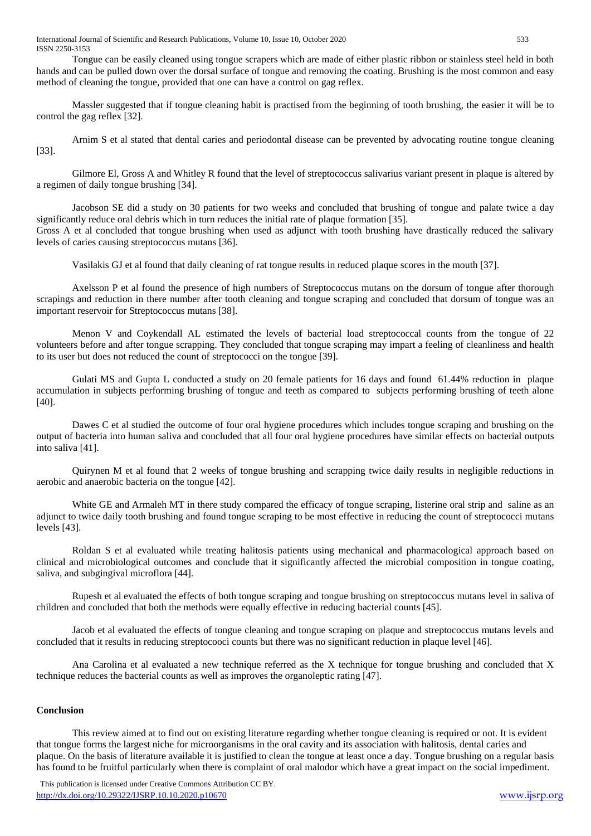International Journal of Scientific and Research Publications, Volume 10, Issue 10, October 2020 533 ISSN 2250-3153

Tongue can be easily cleaned using tongue scrapers which are made of either plastic ribbon or stainless steel held in both hands and can be pulled down over the dorsal surface of tongue and removing the coating. Brushing is the most common and easy method of cleaning the tongue, provided that one can have a control on gag reflex.

Massler suggested that if tongue cleaning habit is practised from the beginning of tooth brushing, the easier it will be to control the gag reflex [32].

Arnim S et al stated that dental caries and periodontal disease can be prevented by advocating routine tongue cleaning [33].

Gilmore El, Gross A and Whitley R found that the level of streptococcus salivarius variant present in plaque is altered by a regimen of daily tongue brushing [34].

Jacobson SE did a study on 30 patients for two weeks and concluded that brushing of tongue and palate twice a day significantly reduce oral debris which in turn reduces the initial rate of plaque formation [35]. Gross A et al concluded that tongue brushing when used as adjunct with tooth brushing have drastically reduced the salivary

levels of caries causing streptococcus mutans [36].

Vasilakis GJ et al found that daily cleaning of rat tongue results in reduced plaque scores in the mouth [37].

Axelsson P et al found the presence of high numbers of Streptococcus mutans on the dorsum of tongue after thorough scrapings and reduction in there number after tooth cleaning and tongue scraping and concluded that dorsum of tongue was an important reservoir for Streptococcus mutans [38].

Menon V and Coykendall AL estimated the levels of bacterial load streptococcal counts from the tongue of 22 volunteers before and after tongue scrapping. They concluded that tongue scraping may impart a feeling of cleanliness and health to its user but does not reduced the count of streptococci on the tongue [39].

Gulati MS and Gupta L conducted a study on 20 female patients for 16 days and found 61.44% reduction in plaque accumulation in subjects performing brushing of tongue and teeth as compared to subjects performing brushing of teeth alone [40].

Dawes C et al studied the outcome of four oral hygiene procedures which includes tongue scraping and brushing on the output of bacteria into human saliva and concluded that all four oral hygiene procedures have similar effects on bacterial outputs into saliva [41].

Quirynen M et al found that 2 weeks of tongue brushing and scrapping twice daily results in negligible reductions in aerobic and anaerobic bacteria on the tongue [42].

White GE and Armaleh MT in there study compared the efficacy of tongue scraping, listerine oral strip and saline as an adjunct to twice daily tooth brushing and found tongue scraping to be most effective in reducing the count of streptococci mutans levels [43].

Roldan S et al evaluated while treating halitosis patients using mechanical and pharmacological approach based on clinical and microbiological outcomes and conclude that it significantly affected the microbial composition in tongue coating, saliva, and subgingival microflora [44].

Rupesh et al evaluated the effects of both tongue scraping and tongue brushing on streptococcus mutans level in saliva of children and concluded that both the methods were equally effective in reducing bacterial counts [45].

Jacob et al evaluated the effects of tongue cleaning and tongue scraping on plaque and streptococcus mutans levels and concluded that it results in reducing streptocooci counts but there was no significant reduction in plaque level [46].

Ana Carolina et al evaluated a new technique referred as the X technique for tongue brushing and concluded that X technique reduces the bacterial counts as well as improves the organoleptic rating [47].

## **Conclusion**

This review aimed at to find out on existing literature regarding whether tongue cleaning is required or not. It is evident that tongue forms the largest niche for microorganisms in the oral cavity and its association with halitosis, dental caries and plaque. On the basis of literature available it is justified to clean the tongue at least once a day. Tongue brushing on a regular basis has found to be fruitful particularly when there is complaint of oral malodor which have a great impact on the social impediment.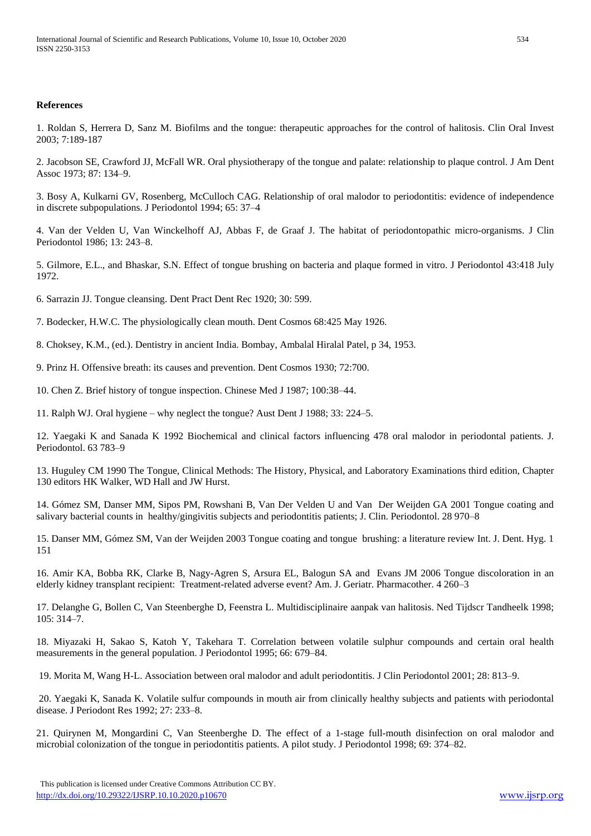#### **References**

1. Roldan S, Herrera D, Sanz M. Biofilms and the tongue: therapeutic approaches for the control of halitosis. Clin Oral Invest 2003; 7:189-187

2. Jacobson SE, Crawford JJ, McFall WR. Oral physiotherapy of the tongue and palate: relationship to plaque control. J Am Dent Assoc 1973; 87: 134–9.

3. Bosy A, Kulkarni GV, Rosenberg, McCulloch CAG. Relationship of oral malodor to periodontitis: evidence of independence in discrete subpopulations. J Periodontol 1994; 65: 37–4

4. Van der Velden U, Van Winckelhoff AJ, Abbas F, de Graaf J. The habitat of periodontopathic micro-organisms. J Clin Periodontol 1986; 13: 243–8.

5. Gilmore, E.L., and Bhaskar, S.N. Effect of tongue brushing on bacteria and plaque formed in vitro. J Periodontol 43:418 July 1972.

6. Sarrazin JJ. Tongue cleansing. Dent Pract Dent Rec 1920; 30: 599.

7. Bodecker, H.W.C. The physiologically clean mouth. Dent Cosmos 68:425 May 1926.

8. Choksey, K.M., (ed.). Dentistry in ancient India. Bombay, Ambalal Hiralal Patel, p 34, 1953.

9. Prinz H. Offensive breath: its causes and prevention. Dent Cosmos 1930; 72:700.

10. Chen Z. Brief history of tongue inspection. Chinese Med J 1987; 100:38–44.

11. Ralph WJ. Oral hygiene – why neglect the tongue? Aust Dent J 1988; 33: 224–5.

12. Yaegaki K and Sanada K 1992 Biochemical and clinical factors influencing 478 oral malodor in periodontal patients. J. Periodontol. 63 783–9

13. Huguley CM 1990 The Tongue, Clinical Methods: The History, Physical, and Laboratory Examinations third edition, Chapter 130 editors HK Walker, WD Hall and JW Hurst.

14. Gómez SM, Danser MM, Sipos PM, Rowshani B, Van Der Velden U and Van Der Weijden GA 2001 Tongue coating and salivary bacterial counts in healthy/gingivitis subjects and periodontitis patients; J. Clin. Periodontol. 28 970–8

15. Danser MM, Gómez SM, Van der Weijden 2003 Tongue coating and tongue brushing: a literature review Int. J. Dent. Hyg. 1 151

16. Amir KA, Bobba RK, Clarke B, Nagy-Agren S, Arsura EL, Balogun SA and Evans JM 2006 Tongue discoloration in an elderly kidney transplant recipient: Treatment-related adverse event? Am. J. Geriatr. Pharmacother. 4 260–3

17. Delanghe G, Bollen C, Van Steenberghe D, Feenstra L. Multidisciplinaire aanpak van halitosis. Ned Tijdscr Tandheelk 1998; 105: 314–7.

18. Miyazaki H, Sakao S, Katoh Y, Takehara T. Correlation between volatile sulphur compounds and certain oral health measurements in the general population. J Periodontol 1995; 66: 679–84.

19. Morita M, Wang H-L. Association between oral malodor and adult periodontitis. J Clin Periodontol 2001; 28: 813–9.

20. Yaegaki K, Sanada K. Volatile sulfur compounds in mouth air from clinically healthy subjects and patients with periodontal disease. J Periodont Res 1992; 27: 233–8.

21. Quirynen M, Mongardini C, Van Steenberghe D. The effect of a 1-stage full-mouth disinfection on oral malodor and microbial colonization of the tongue in periodontitis patients. A pilot study. J Periodontol 1998; 69: 374–82.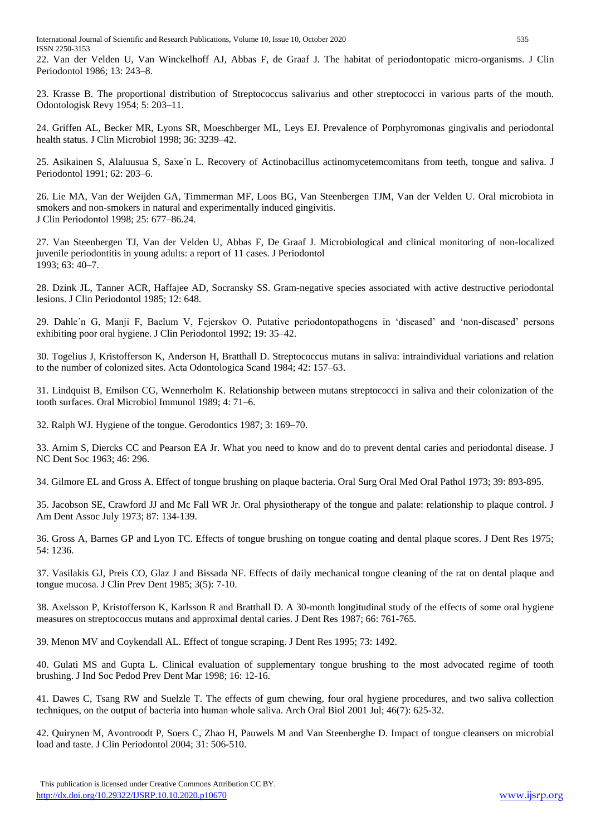International Journal of Scientific and Research Publications, Volume 10, Issue 10, October 2020 535 ISSN 2250-3153

22. Van der Velden U, Van Winckelhoff AJ, Abbas F, de Graaf J. The habitat of periodontopatic micro-organisms. J Clin Periodontol 1986; 13: 243–8.

23. Krasse B. The proportional distribution of Streptococcus salivarius and other streptococci in various parts of the mouth. Odontologisk Revy 1954; 5: 203–11.

24. Griffen AL, Becker MR, Lyons SR, Moeschberger ML, Leys EJ. Prevalence of Porphyromonas gingivalis and periodontal health status. J Clin Microbiol 1998; 36: 3239–42.

25. Asikainen S, Alaluusua S, Saxe´n L. Recovery of Actinobacillus actinomycetemcomitans from teeth, tongue and saliva. J Periodontol 1991; 62: 203–6.

26. Lie MA, Van der Weijden GA, Timmerman MF, Loos BG, Van Steenbergen TJM, Van der Velden U. Oral microbiota in smokers and non-smokers in natural and experimentally induced gingivitis. J Clin Periodontol 1998; 25: 677–86.24.

27. Van Steenbergen TJ, Van der Velden U, Abbas F, De Graaf J. Microbiological and clinical monitoring of non-localized juvenile periodontitis in young adults: a report of 11 cases. J Periodontol 1993; 63: 40–7.

28. Dzink JL, Tanner ACR, Haffajee AD, Socransky SS. Gram-negative species associated with active destructive periodontal lesions. J Clin Periodontol 1985; 12: 648.

29. Dahle´n G, Manji F, Baelum V, Fejerskov O. Putative periodontopathogens in 'diseased' and 'non-diseased' persons exhibiting poor oral hygiene. J Clin Periodontol 1992; 19: 35–42.

30. Togelius J, Kristofferson K, Anderson H, Bratthall D. Streptococcus mutans in saliva: intraindividual variations and relation to the number of colonized sites. Acta Odontologica Scand 1984; 42: 157–63.

31. Lindquist B, Emilson CG, Wennerholm K. Relationship between mutans streptococci in saliva and their colonization of the tooth surfaces. Oral Microbiol Immunol 1989; 4: 71–6.

32. Ralph WJ. Hygiene of the tongue. Gerodontics 1987; 3: 169–70.

33. Arnim S, Diercks CC and Pearson EA Jr. What you need to know and do to prevent dental caries and periodontal disease. J NC Dent Soc 1963; 46: 296.

34. Gilmore EL and Gross A. Effect of tongue brushing on plaque bacteria. Oral Surg Oral Med Oral Pathol 1973; 39: 893-895.

35. Jacobson SE, Crawford JJ and Mc Fall WR Jr. Oral physiotherapy of the tongue and palate: relationship to plaque control. J Am Dent Assoc July 1973; 87: 134-139.

36. Gross A, Barnes GP and Lyon TC. Effects of tongue brushing on tongue coating and dental plaque scores. J Dent Res 1975; 54: 1236.

37. Vasilakis GJ, Preis CO, Glaz J and Bissada NF. Effects of daily mechanical tongue cleaning of the rat on dental plaque and tongue mucosa. J Clin Prev Dent 1985; 3(5): 7-10.

38. Axelsson P, Kristofferson K, Karlsson R and Bratthall D. A 30-month longitudinal study of the effects of some oral hygiene measures on streptococcus mutans and approximal dental caries. J Dent Res 1987; 66: 761-765.

39. Menon MV and Coykendall AL. Effect of tongue scraping. J Dent Res 1995; 73: 1492.

40. Gulati MS and Gupta L. Clinical evaluation of supplementary tongue brushing to the most advocated regime of tooth brushing. J Ind Soc Pedod Prev Dent Mar 1998; 16: 12-16.

41. Dawes C, Tsang RW and Suelzle T. The effects of gum chewing, four oral hygiene procedures, and two saliva collection techniques, on the output of bacteria into human whole saliva. Arch Oral Biol 2001 Jul; 46(7): 625-32.

42. Quirynen M, Avontroodt P, Soers C, Zhao H, Pauwels M and Van Steenberghe D. Impact of tongue cleansers on microbial load and taste. J Clin Periodontol 2004; 31: 506-510.